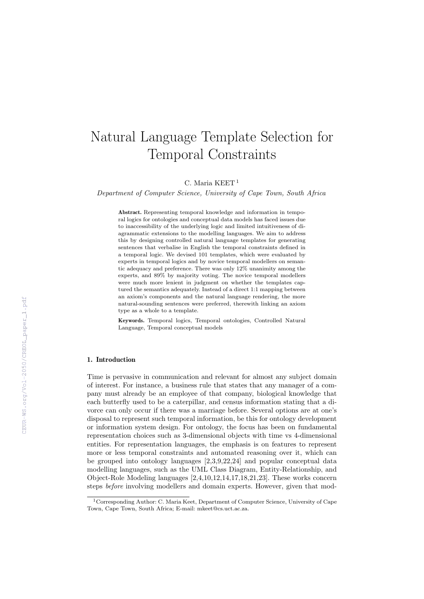# Natural Language Template Selection for Temporal Constraints

C. Maria KEET<sup>1</sup>

Department of Computer Science, University of Cape Town, South Africa

Abstract. Representing temporal knowledge and information in temporal logics for ontologies and conceptual data models has faced issues due to inaccessibility of the underlying logic and limited intuitiveness of diagrammatic extensions to the modelling languages. We aim to address this by designing controlled natural language templates for generating sentences that verbalise in English the temporal constraints defined in a temporal logic. We devised 101 templates, which were evaluated by experts in temporal logics and by novice temporal modellers on semantic adequacy and preference. There was only 12% unanimity among the experts, and 89% by majority voting. The novice temporal modellers were much more lenient in judgment on whether the templates captured the semantics adequately. Instead of a direct 1:1 mapping between an axiom's components and the natural language rendering, the more natural-sounding sentences were preferred, therewith linking an axiom type as a whole to a template.

Keywords. Temporal logics, Temporal ontologies, Controlled Natural Language, Temporal conceptual models

## 1. Introduction

Time is pervasive in communication and relevant for almost any subject domain of interest. For instance, a business rule that states that any manager of a company must already be an employee of that company, biological knowledge that each butterfly used to be a caterpillar, and census information stating that a divorce can only occur if there was a marriage before. Several options are at one's disposal to represent such temporal information, be this for ontology development or information system design. For ontology, the focus has been on fundamental representation choices such as 3-dimensional objects with time vs 4-dimensional entities. For representation languages, the emphasis is on features to represent more or less temporal constraints and automated reasoning over it, which can be grouped into ontology languages [2,3,9,22,24] and popular conceptual data modelling languages, such as the UML Class Diagram, Entity-Relationship, and Object-Role Modeling languages [2,4,10,12,14,17,18,21,23]. These works concern steps before involving modellers and domain experts. However, given that mod-

<sup>1</sup>Corresponding Author: C. Maria Keet, Department of Computer Science, University of Cape Town, Cape Town, South Africa; E-mail: mkeet@cs.uct.ac.za.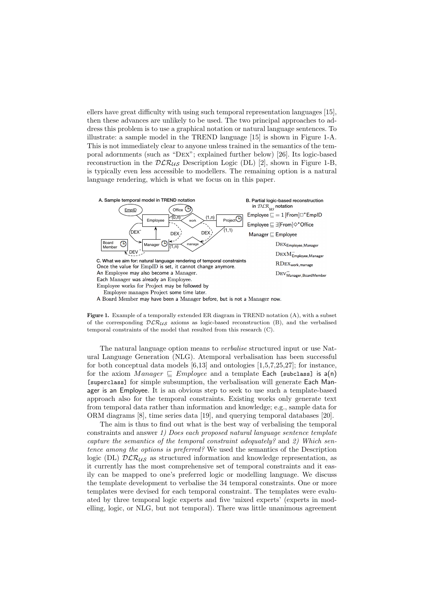ellers have great difficulty with using such temporal representation languages [15], then these advances are unlikely to be used. The two principal approaches to address this problem is to use a graphical notation or natural language sentences. To illustrate: a sample model in the TREND language [15] is shown in Figure 1-A. This is not immediately clear to anyone unless trained in the semantics of the temporal adornments (such as "Dex"; explained further below) [26]. Its logic-based reconstruction in the  $DLR_{US}$  Description Logic (DL) [2], shown in Figure 1-B, is typically even less accessible to modellers. The remaining option is a natural language rendering, which is what we focus on in this paper.





The natural language option means to *verbalise* structured input or use Natural Language Generation (NLG). Atemporal verbalisation has been successful for both conceptual data models [6,13] and ontologies [1,5,7,25,27]; for instance, for the axiom Manager  $\subseteq$  Employee and a template Each [subclass] is a(n) [superclass] for simple subsumption, the verbalisation will generate Each Manager is an Employee. It is an obvious step to seek to use such a template-based approach also for the temporal constraints. Existing works only generate text from temporal data rather than information and knowledge; e.g., sample data for ORM diagrams [8], time series data [19], and querying temporal databases [20].

The aim is thus to find out what is the best way of verbalising the temporal constraints and answer 1) Does each proposed natural language sentence template capture the semantics of the temporal constraint adequately? and 2) Which sentence among the options is preferred? We used the semantics of the Description logic (DL)  $\mathcal{DLR}_{\mathcal{US}}$  as structured information and knowledge representation, as it currently has the most comprehensive set of temporal constraints and it easily can be mapped to one's preferred logic or modelling language. We discuss the template development to verbalise the 34 temporal constraints. One or more templates were devised for each temporal constraint. The templates were evaluated by three temporal logic experts and five 'mixed experts' (experts in modelling, logic, or NLG, but not temporal). There was little unanimous agreement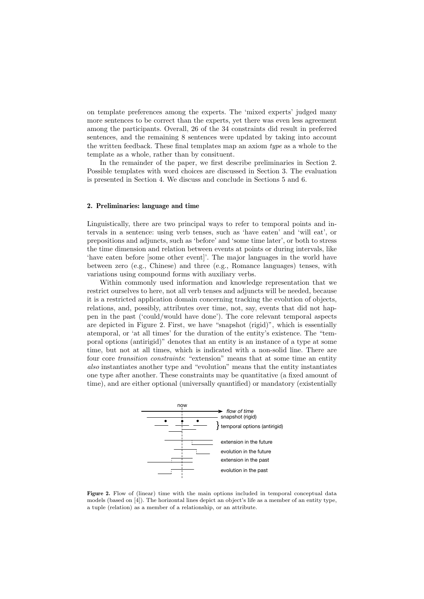on template preferences among the experts. The 'mixed experts' judged many more sentences to be correct than the experts, yet there was even less agreement among the participants. Overall, 26 of the 34 constraints did result in preferred sentences, and the remaining 8 sentences were updated by taking into account the written feedback. These final templates map an axiom type as a whole to the template as a whole, rather than by consituent.

In the remainder of the paper, we first describe preliminaries in Section 2. Possible templates with word choices are discussed in Section 3. The evaluation is presented in Section 4. We discuss and conclude in Sections 5 and 6.

## 2. Preliminaries: language and time

Linguistically, there are two principal ways to refer to temporal points and intervals in a sentence: using verb tenses, such as 'have eaten' and 'will eat', or prepositions and adjuncts, such as 'before' and 'some time later', or both to stress the time dimension and relation between events at points or during intervals, like 'have eaten before [some other event]'. The major languages in the world have between zero (e.g., Chinese) and three (e.g., Romance languages) tenses, with variations using compound forms with auxiliary verbs.

Within commonly used information and knowledge representation that we restrict ourselves to here, not all verb tenses and adjuncts will be needed, because it is a restricted application domain concerning tracking the evolution of objects, relations, and, possibly, attributes over time, not, say, events that did not happen in the past ('could/would have done'). The core relevant temporal aspects are depicted in Figure 2. First, we have "snapshot (rigid)", which is essentially atemporal, or 'at all times' for the duration of the entity's existence. The "temporal options (antirigid)" denotes that an entity is an instance of a type at some time, but not at all times, which is indicated with a non-solid line. There are four core transition constraints: "extension" means that at some time an entity also instantiates another type and "evolution" means that the entity instantiates one type after another. These constraints may be quantitative (a fixed amount of time), and are either optional (universally quantified) or mandatory (existentially



Figure 2. Flow of (linear) time with the main options included in temporal conceptual data models (based on [4]). The horizontal lines depict an object's life as a member of an entity type, a tuple (relation) as a member of a relationship, or an attribute.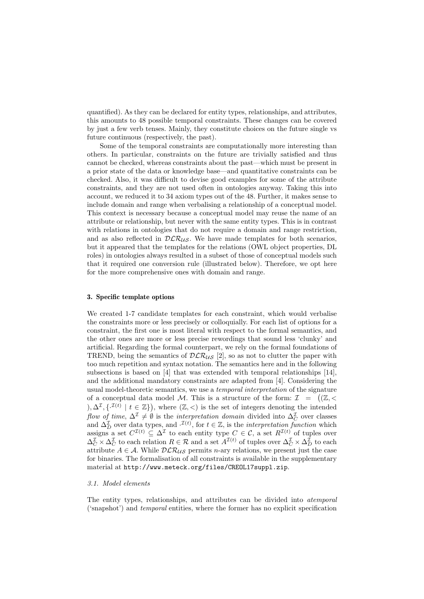quantified). As they can be declared for entity types, relationships, and attributes, this amounts to 48 possible temporal constraints. These changes can be covered by just a few verb tenses. Mainly, they constitute choices on the future single vs future continuous (respectively, the past).

Some of the temporal constraints are computationally more interesting than others. In particular, constraints on the future are trivially satisfied and thus cannot be checked, whereas constraints about the past—which must be present in a prior state of the data or knowledge base—and quantitative constraints can be checked. Also, it was difficult to devise good examples for some of the attribute constraints, and they are not used often in ontologies anyway. Taking this into account, we reduced it to 34 axiom types out of the 48. Further, it makes sense to include domain and range when verbalising a relationship of a conceptual model. This context is necessary because a conceptual model may reuse the name of an attribute or relationship, but never with the same entity types. This is in contrast with relations in ontologies that do not require a domain and range restriction, and as also reflected in  $DLR_{\mathcal{U}}s$ . We have made templates for both scenarios, but it appeared that the templates for the relations (OWL object properties, DL roles) in ontologies always resulted in a subset of those of conceptual models such that it required one conversion rule (illustrated below). Therefore, we opt here for the more comprehensive ones with domain and range.

#### 3. Specific template options

We created 1-7 candidate templates for each constraint, which would verbalise the constraints more or less precisely or colloquially. For each list of options for a constraint, the first one is most literal with respect to the formal semantics, and the other ones are more or less precise rewordings that sound less 'clunky' and artificial. Regarding the formal counterpart, we rely on the formal foundations of TREND, being the semantics of  $\mathcal{DLR}_{US}$  [2], so as not to clutter the paper with too much repetition and syntax notation. The semantics here and in the following subsections is based on [4] that was extended with temporal relationships [14], and the additional mandatory constraints are adapted from [4]. Considering the usual model-theoretic semantics, we use a temporal interpretation of the signature of a conceptual data model M. This is a structure of the form:  $\mathcal{I} = ((\mathbb{Z}, \leq$ ),  $\Delta^{\mathcal{I}}, \{\cdot^{\mathcal{I}(t)} \mid t \in \mathbb{Z}\}\)$ , where  $(\mathbb{Z}, <)$  is the set of integers denoting the intended flow of time,  $\Delta^{\mathcal{I}} \neq \emptyset$  is the interpretation domain divided into  $\Delta_C^{\mathcal{I}}$  over classes and  $\Delta_D^{\mathcal{I}}$  over data types, and  $\cdot^{\mathcal{I}(t)}$ , for  $t \in \mathbb{Z}$ , is the *interpretation function* which assigns a set  $C^{\mathcal{I}(t)} \subseteq \Delta^{\mathcal{I}}$  to each entity type  $C \in \mathcal{C}$ , a set  $R^{\mathcal{I}(t)}$  of tuples over  $\Delta_C^{\mathcal{I}} \times \Delta_C^{\mathcal{I}}$  to each relation  $R \in \mathcal{R}$  and a set  $A^{\mathcal{I}(t)}$  of tuples over  $\Delta_C^{\mathcal{I}} \times \Delta_D^{\mathcal{I}}$  to each attribute  $A \in \mathcal{A}$ . While  $D\mathcal{LR}_{\mathcal{US}}$  permits *n*-ary relations, we present just the case for binaries. The formalisation of all constraints is available in the supplementary material at http://www.meteck.org/files/CREOL17suppl.zip.

#### 3.1. Model elements

The entity types, relationships, and attributes can be divided into atemporal ('snapshot') and temporal entities, where the former has no explicit specification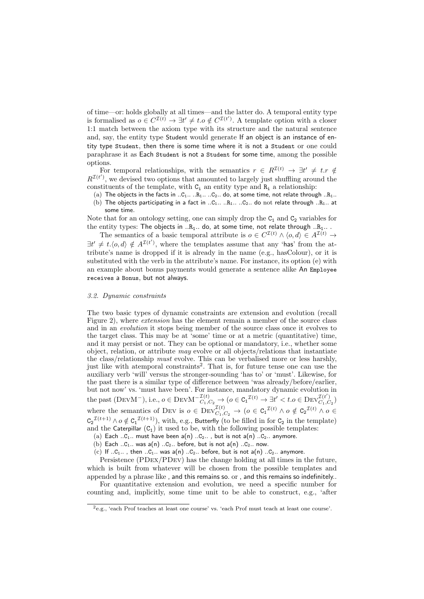of time—or: holds globally at all times—and the latter do. A temporal entity type is formalised as  $o \in C^{\mathcal{I}(t)} \to \exists t' \neq t.o \notin C^{\mathcal{I}(t')}$ . A template option with a closer 1:1 match between the axiom type with its structure and the natural sentence and, say, the entity type Student would generate If an object is an instance of entity type Student, then there is some time where it is not a Student or one could paraphrase it as Each Student is not a Student for some time, among the possible options.

For temporal relationships, with the semantics  $r \in R^{\mathcal{I}(t)} \to \exists t' \neq t \cdot r \notin \mathcal{I}(t)$  $R^{\mathcal{I}(t')}$ , we devised two options that amounted to largely just shuffling around the constituents of the template, with  $C_i$  an entity type and  $R_i$  a relationship:

(a) The objects in the facts in ..C<sub>1</sub>.. ..R<sub>1</sub>.. ..C<sub>2</sub>.. do, at some time, not relate through ..R<sub>1</sub>.. (b) The objects participating in a fact in ..C<sub>1</sub>.. ..R<sub>1</sub>.. ..C<sub>2</sub>.. do not relate through ..R<sub>1</sub>.. at

some time.

Note that for an ontology setting, one can simply drop the  $C_1$  and  $C_2$  variables for the entity types: The objects in  $R_1$ .. do, at some time, not relate through  $R_1$ ...

The semantics of a basic temporal attribute is  $o \in C^{\mathcal{I}(t)} \wedge \langle o, d \rangle \in A^{\mathcal{I}(t)} \rightarrow$  $\exists t' \neq t.\langle o, d \rangle \notin A^{\mathcal{I}(t')}$ , where the templates assume that any 'has' from the attribute's name is dropped if it is already in the name (e.g., hasColour), or it is substituted with the verb in the attribute's name. For instance, its option (e) with an example about bonus payments would generate a sentence alike An Employee receives a Bonus, but not always.

## 3.2. Dynamic constraints

The two basic types of dynamic constraints are extension and evolution (recall Figure 2), where extension has the element remain a member of the source class and in an evolution it stops being member of the source class once it evolves to the target class. This may be at 'some' time or at a metric (quantitative) time, and it may persist or not. They can be optional or mandatory, i.e., whether some object, relation, or attribute  $may$  evolve or all objects/relations that instantiate the class/relationship must evolve. This can be verbalised more or less harshly, just like with atemporal constraints<sup>2</sup>. That is, for future tense one can use the auxiliary verb 'will' versus the stronger-sounding 'has to' or 'must'. Likewise, for the past there is a similar type of difference between 'was already/before/earlier, but not now' vs. 'must have been'. For instance, mandatory dynamic evolution in the past (DEVM<sup>-</sup>), i.e.,  $o \in \text{DevM}^{-\mathcal{I}(t)}_{C_1, C_2} \to (o \in C_1^{\mathcal{I}(t)} \to \exists t' < t.o \in \text{Dev}_{C_1, C}^{\mathcal{I}(t')}$  $\bigl( \begin{smallmatrix} L & 1 \\ C_1 & C_2 \end{smallmatrix} \bigr)$ where the semantics of DEV is  $o \in \text{Dev}_{C_1, C_2}^{\mathcal{I}(t)} \to (o \in \text{C}_1^{\mathcal{I}(t)} \land o \notin \text{C}_2^{\mathcal{I}(t)} \land o \in$  $C_2^{\mathcal{I}(t+1)} \wedge o \notin C_1^{\mathcal{I}(t+1)}$ , with, e.g., Butterfly (to be filled in for  $C_2$  in the template) and the Caterpillar  $(C_1)$  it used to be, with the following possible templates:

(a) Each .. $C_1$ .. must have been  $a(n)$  .. $C_2$ .. , but is not  $a(n)$  .. $C_2$ .. anymore.

(b) Each .. $C_1$ .. was a(n) .. $C_2$ .. before, but is not a(n) .. $C_2$ .. now.

(c) If  $.C_1...$ , then  $.C_1...$  was  $a(n)$   $.C_2...$  before, but is not  $a(n)$   $.C_2...$  anymore.

Persistence (PDex/PDev) has the change holding at all times in the future, which is built from whatever will be chosen from the possible templates and appended by a phrase like , and this remains so. or , and this remains so indefinitely..

For quantitative extension and evolution, we need a specific number for counting and, implicitly, some time unit to be able to construct, e.g., 'after

<sup>2</sup>e.g., 'each Prof teaches at least one course' vs. 'each Prof must teach at least one course'.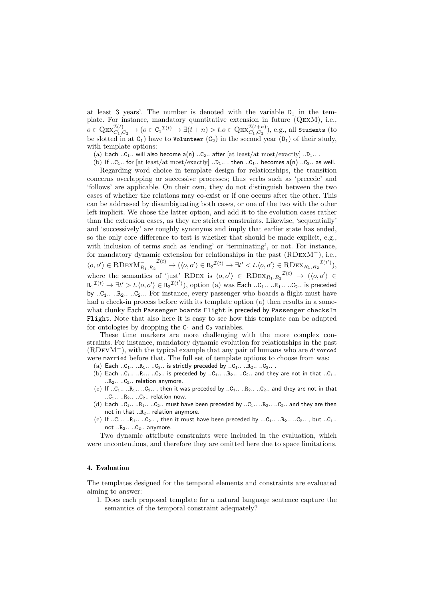at least 3 years'. The number is denoted with the variable  $D_1$  in the template. For instance, mandatory quantitative extension in future (QexM), i.e.,  $o\in\mathrm{Qex}_{C_1,C_2}^{\mathcal{I}(t)}\to (o\in\mathtt{C_1}^{\mathcal{I}(t)}\to \exists(t+n)>t.o\in\mathrm{Qex}_{C_1,C_2}^{\mathcal{I}(t+n)}),$  e.g., all Students (to be slotted in at  $C_1$ ) have to Volunteer  $(C_2)$  in the second year  $(D_1)$  of their study, with template options:

(a) Each ..C<sub>1</sub>.. will also become  $a(n)$  ..C<sub>2</sub>.. after [at least/at most/exactly] ..D<sub>1</sub>...

(b) If  $.C_1..$  for [at least/at most/exactly]  $.D_1..$  , then  $.C_1..$  becomes  $a(n)$   $.C_2..$  as well.

Regarding word choice in template design for relationships, the transition concerns overlapping or successive processes; thus verbs such as 'precede' and 'follows' are applicable. On their own, they do not distinguish between the two cases of whether the relations may co-exist or if one occurs after the other. This can be addressed by disambiguating both cases, or one of the two with the other left implicit. We chose the latter option, and add it to the evolution cases rather than the extension cases, as they are stricter constraints. Likewise, 'sequentially' and 'successively' are roughly synonyms and imply that earlier state has ended, so the only core difference to test is whether that should be made explicit, e.g., with inclusion of terms such as 'ending' or 'terminating', or not. For instance, for mandatory dynamic extension for relationships in the past (RDexM<sup>−</sup>), i.e.,  $\langle o, o' \rangle \in \text{RDEXM}_{R_1, R_2}^{\text{T}(t)} \rightarrow (\langle o, o' \rangle \in R_2^{\text{T}(t)} \rightarrow \exists t' < t.\langle o, o' \rangle \in \text{RDEX}_{R_1, R_2}^{\text{T}(t')})$ where the semantics of 'just' RDEX is  $\langle o, o' \rangle \in RDEX_{R_1,R_2}^{\mathcal{I}(t)} \rightarrow (\langle o, o' \rangle \in RDEX_{R_1,R_2}^{\mathcal{I}(t)}$  $\texttt{R}_1{}^{\mathcal{I}(t)} \rightarrow \exists t' > t. \langle o, o' \rangle \in \texttt{R}_2{}^{\mathcal{I}(t')}) , \text{ option (a) was Each ..C}_1. . . . \texttt{R}_1. . . . C_2. . \text{ is preceded}$ by  $.C_1...R_2...C_2...$  For instance, every passenger who boards a flight must have had a check-in process before with its template option (a) then results in a somewhat clunky Each Passenger boards Flight is preceded by Passenger checksIn Flight. Note that also here it is easy to see how this template can be adapted for ontologies by dropping the  $C_1$  and  $C_2$  variables.

These time markers are more challenging with the more complex constraints. For instance, mandatory dynamic evolution for relationships in the past (RDevM<sup>−</sup>), with the typical example that any pair of humans who are divorced were married before that. The full set of template options to choose from was:

- (a) Each  $..C_1.....R_1......C_2...$  is strictly preceded by  $..C_1.....R_2......C_2...$
- (b) Each  $..C_1.....R_1...C_2...$  is preceded by  $..C_1...R_2...C_2...$  and they are not in that  $..C_1...$  $R_2... C_2...$  relation anymore.
- (c) If  $.C_1...R_1...C_2...$ , then it was preceded by  $.C_1...R_2...C_2...$  and they are not in that  $.C_1...R_2...C_2...$  relation now.
- (d) Each .. $C_1$ ... .. $R_1$ ... .. $C_2$ .. must have been preceded by .. $C_1$ ... .. $R_2$ ... .. $C_2$ .. and they are then not in that  $..R_2..$  relation anymore.
- (e) If  $.C_1...R_1...C_2...$ , then it must have been preceded by  $...C_1...R_2...C_2...$ , but  $.C_1...$ not  $..R_2$ ..  $..C_2$ .. anymore.

Two dynamic attribute constraints were included in the evaluation, which were uncontentious, and therefore they are omitted here due to space limitations.

## 4. Evaluation

The templates designed for the temporal elements and constraints are evaluated aiming to answer:

1. Does each proposed template for a natural language sentence capture the semantics of the temporal constraint adequately?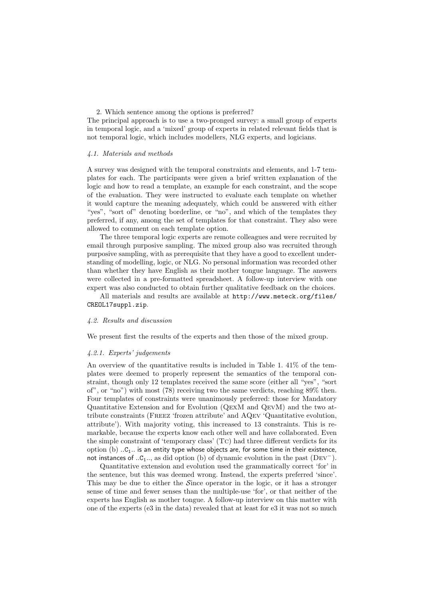2. Which sentence among the options is preferred?

The principal approach is to use a two-pronged survey: a small group of experts in temporal logic, and a 'mixed' group of experts in related relevant fields that is not temporal logic, which includes modellers, NLG experts, and logicians.

## 4.1. Materials and methods

A survey was designed with the temporal constraints and elements, and 1-7 templates for each. The participants were given a brief written explanation of the logic and how to read a template, an example for each constraint, and the scope of the evaluation. They were instructed to evaluate each template on whether it would capture the meaning adequately, which could be answered with either "yes", "sort of" denoting borderline, or "no", and which of the templates they preferred, if any, among the set of templates for that constraint. They also were allowed to comment on each template option.

The three temporal logic experts are remote colleagues and were recruited by email through purposive sampling. The mixed group also was recruited through purposive sampling, with as prerequisite that they have a good to excellent understanding of modelling, logic, or NLG. No personal information was recorded other than whether they have English as their mother tongue language. The answers were collected in a pre-formatted spreadsheet. A follow-up interview with one expert was also conducted to obtain further qualitative feedback on the choices.

All materials and results are available at http://www.meteck.org/files/ CREOL17suppl.zip.

#### 4.2. Results and discussion

We present first the results of the experts and then those of the mixed group.

#### 4.2.1. Experts' judgements

An overview of the quantitative results is included in Table 1. 41% of the templates were deemed to properly represent the semantics of the temporal constraint, though only 12 templates received the same score (either all "yes", "sort of", or "no") with most (78) receiving two the same verdicts, reaching 89% then. Four templates of constraints were unanimously preferred: those for Mandatory Quantitative Extension and for Evolution (QexM and QevM) and the two attribute constraints (Freez 'frozen attribute' and AQev 'Quantitative evolution, attribute'). With majority voting, this increased to 13 constraints. This is remarkable, because the experts know each other well and have collaborated. Even the simple constraint of 'temporary class' (Tc) had three different verdicts for its option (b)  $.C<sub>1</sub>$ .. is an entity type whose objects are, for some time in their existence, not instances of ..C<sub>1</sub>.., as did option (b) of dynamic evolution in the past (DEV<sup>-</sup>).

Quantitative extension and evolution used the grammatically correct 'for' in the sentence, but this was deemed wrong. Instead, the experts preferred 'since'. This may be due to either the Since operator in the logic, or it has a stronger sense of time and fewer senses than the multiple-use 'for', or that neither of the experts has English as mother tongue. A follow-up interview on this matter with one of the experts (e3 in the data) revealed that at least for e3 it was not so much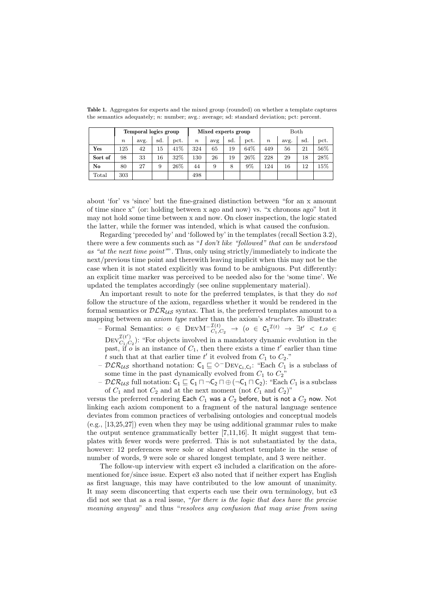|                        | Temporal logics group |      |     |      | Mixed experts group |     |     |       | Both             |      |     |      |
|------------------------|-----------------------|------|-----|------|---------------------|-----|-----|-------|------------------|------|-----|------|
|                        | $\boldsymbol{n}$      | avg. | sd. | pct. | $\boldsymbol{n}$    | avg | sd. | pct.  | $\boldsymbol{n}$ | avg. | sd. | pct. |
| Yes                    | 125                   | 42   | 15  | 41%  | 324                 | 65  | 19  | 64%   | 449              | 56   | 21  | 56%  |
| Sort of                | 98                    | 33   | 16  | 32%  | 130                 | 26  | 19  | 26%   | 228              | 29   | 18  | 28%  |
| $\mathbf{N}\mathbf{o}$ | 80                    | 27   | 9   | 26%  | 44                  | 9   | 8   | $9\%$ | 124              | 16   | 12  | 15%  |
| Total                  | 303                   |      |     |      | 498                 |     |     |       |                  |      |     |      |

Table 1. Aggregates for experts and the mixed group (rounded) on whether a template captures the semantics adequately; n: number; avg.: average; sd: standard deviation; pct: percent.

about 'for' vs 'since' but the fine-grained distinction between "for an x amount of time since x" (or: holding between x ago and now) vs. "x chronons ago" but it may not hold some time between x and now. On closer inspection, the logic stated the latter, while the former was intended, which is what caused the confusion.

Regarding 'preceded by' and 'followed by' in the templates (recall Section 3.2), there were a few comments such as "I don't like "followed" that can be understood as "at the next time point"". Thus, only using strictly/immediately to indicate the next/previous time point and therewith leaving implicit when this may not be the case when it is not stated explicitly was found to be ambiguous. Put differently: an explicit time marker was perceived to be needed also for the 'some time'. We updated the templates accordingly (see online supplementary material).

An important result to note for the preferred templates, is that they do not follow the structure of the axiom, regardless whether it would be rendered in the formal semantics or  $DLR_{\mathcal{U}\mathcal{S}}$  syntax. That is, the preferred templates amount to a mapping between an axiom type rather than the axiom's structure. To illustrate:

- Formal Semantics:  $o \in \text{DevM}^{-\mathcal{I}(t)} \rightarrow (o \in \text{C}_1^{\mathcal{I}(t)} \rightarrow \exists t' < t.o \in$  $\text{Dev}_{G}^{\mathcal{I}(t')}$  $C_{1,C_2}^{(t)}$ : "For objects involved in a mandatory dynamic evolution in the past, if  $o$  is an instance of  $C_1$ , then there exists a time  $t'$  earlier than time t such that at that earlier time  $t'$  it evolved from  $C_1$  to  $C_2$ ."
- −  $\mathcal{DLR}_{\mathcal{US}}$  shorthand notation:  $C_1 \sqsubseteq \Diamond$ <sup>−</sup>DEV<sub>C<sub>1</sub>, $C_2$ : "Each  $C_1$  is a subclass of</sub> some time in the past dynamically evolved from  $C_1$  to  $C_2$ "
- $DLR_{US}$  full notation:  $C_1 \sqsubseteq C_1 \sqcap \neg C_2 \sqcap \oplus (\neg C_1 \sqcap C_2)$ : "Each  $C_1$  is a subclass of  $C_1$  and not  $C_2$  and at the next moment (not  $C_1$  and  $C_2$ )"

versus the preferred rendering Each  $C_1$  was a  $C_2$  before, but is not a  $C_2$  now. Not linking each axiom component to a fragment of the natural language sentence deviates from common practices of verbalising ontologies and conceptual models (e.g., [13,25,27]) even when they may be using additional grammar rules to make the output sentence grammatically better [7,11,16]. It might suggest that templates with fewer words were preferred. This is not substantiated by the data, however: 12 preferences were sole or shared shortest template in the sense of number of words, 9 were sole or shared longest template, and 3 were neither.

The follow-up interview with expert e3 included a clarification on the aforementioned for/since issue. Expert e3 also noted that if neither expert has English as first language, this may have contributed to the low amount of unanimity. It may seem disconcerting that experts each use their own terminology, but e3 did not see that as a real issue, "for there is the logic that does have the precise meaning anyway" and thus "resolves any confusion that may arise from using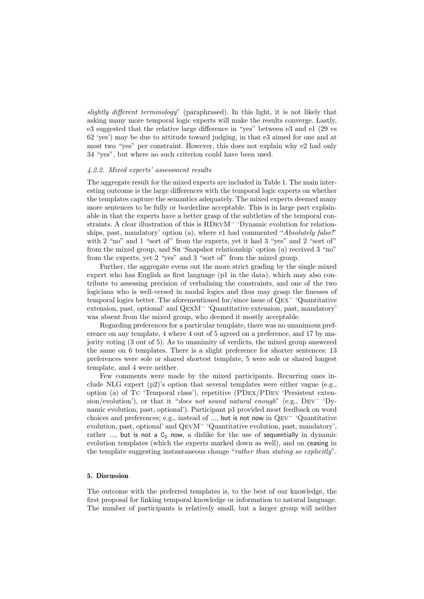slightly different terminology" (paraphrased). In this light, it is not likely that asking many more temporal logic experts will make the results converge. Lastly, e3 suggested that the relative large difference in "yes" between e3 and e1 (29 vs 62 'yes') may be due to attitude toward judging, in that e3 aimed for one and at most two "yes" per constraint. However, this does not explain why e2 had only 34 "yes", but where no such criterion could have been used.

#### 4.2.2. Mixed experts' assessment results

The aggregate result for the mixed experts are included in Table 1. The main interesting outcome is the large differences with the temporal logic experts on whether the templates capture the semantics adequately. The mixed experts deemed many more sentences to be fully or borderline acceptable. This is in large part explainable in that the experts have a better grasp of the subtleties of the temporal constraints. A clear illustration of this is RDevM<sup>−</sup> 'Dynamic evolution for relationships, past, mandatory' option (a), where  $e1$  had commented "Absolutely false!" with 2 "no" and 1 "sort of" from the experts, yet it had 3 "yes" and 2 "sort of" from the mixed group, and Sr 'Snapshot relationship' option (a) received 3 "no" from the experts, yet 2 "yes" and 3 "sort of" from the mixed group.

Further, the aggregate evens out the more strict grading by the single mixed expert who has English as first language (p1 in the data), which may also contribute to assessing precision of verbalising the constraints, and one of the two logicians who is well-versed in modal logics and thus may grasp the finesses of temporal logics better. The aforementioned for/since issue of Qex<sup>−</sup> 'Quantitative extension, past, optional' and QexM<sup>−</sup> 'Quantitative extension, past, mandatory' was absent from the mixed group, who deemed it mostly acceptable.

Regarding preferences for a particular template, there was no unanimous preference on any template, 4 where 4 out of 5 agreed on a preference, and 17 by majority voting (3 out of 5). As to unanimity of verdicts, the mixed group answered the same on 6 templates. There is a slight preference for shorter sentences: 13 preferences were sole or shared shortest template, 5 were sole or shared longest template, and 4 were neither.

Few comments were made by the mixed participants. Recurring ones include NLG expert  $(p2)$ 's option that several templates were either vague (e.g., option (a) of Tc 'Temporal class'), repetitive (PDex/PDev 'Persistent extension/evolution'), or that it "does not sound natural enough" (e.g.,  $DEV^-$  'Dynamic evolution, past, optional'). Participant p1 provided most feedback on word choices and preferences; e.g., instead of ..., but is not now in Qev<sup>−</sup> 'Quantitative evolution, past, optional' and QevM<sup>−</sup> 'Quantitative evolution, past, mandatory', rather  $\ldots$ , but is not a  $C_2$  now, a dislike for the use of sequentially in dynamic evolution templates (which the experts marked down as well), and on ceasing in the template suggesting instantaneous change "rather than stating so explicitly".

## 5. Discussion

The outcome with the preferred templates is, to the best of our knowledge, the first proposal for linking temporal knowledge or information to natural language. The number of participants is relatively small, but a larger group will neither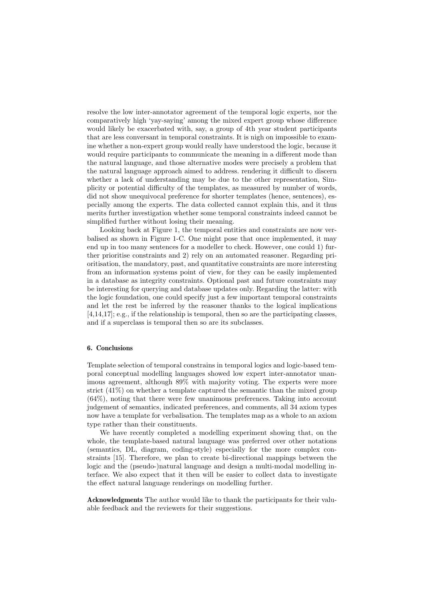resolve the low inter-annotator agreement of the temporal logic experts, nor the comparatively high 'yay-saying' among the mixed expert group whose difference would likely be exacerbated with, say, a group of 4th year student participants that are less conversant in temporal constraints. It is nigh on impossible to examine whether a non-expert group would really have understood the logic, because it would require participants to communicate the meaning in a different mode than the natural language, and those alternative modes were precisely a problem that the natural language approach aimed to address. rendering it difficult to discern whether a lack of understanding may be due to the other representation, Simplicity or potential difficulty of the templates, as measured by number of words, did not show unequivocal preference for shorter templates (hence, sentences), especially among the experts. The data collected cannot explain this, and it thus merits further investigation whether some temporal constraints indeed cannot be simplified further without losing their meaning.

Looking back at Figure 1, the temporal entities and constraints are now verbalised as shown in Figure 1-C. One might pose that once implemented, it may end up in too many sentences for a modeller to check. However, one could 1) further prioritise constraints and 2) rely on an automated reasoner. Regarding prioritisation, the mandatory, past, and quantitative constraints are more interesting from an information systems point of view, for they can be easily implemented in a database as integrity constraints. Optional past and future constraints may be interesting for querying and database updates only. Regarding the latter: with the logic foundation, one could specify just a few important temporal constraints and let the rest be inferred by the reasoner thanks to the logical implications [4,14,17]; e.g., if the relationship is temporal, then so are the participating classes, and if a superclass is temporal then so are its subclasses.

## 6. Conclusions

Template selection of temporal constrains in temporal logics and logic-based temporal conceptual modelling languages showed low expert inter-annotator unanimous agreement, although 89% with majority voting. The experts were more strict (41%) on whether a template captured the semantic than the mixed group (64%), noting that there were few unanimous preferences. Taking into account judgement of semantics, indicated preferences, and comments, all 34 axiom types now have a template for verbalisation. The templates map as a whole to an axiom type rather than their constituents.

We have recently completed a modelling experiment showing that, on the whole, the template-based natural language was preferred over other notations (semantics, DL, diagram, coding-style) especially for the more complex constraints [15]. Therefore, we plan to create bi-directional mappings between the logic and the (pseudo-)natural language and design a multi-modal modelling interface. We also expect that it then will be easier to collect data to investigate the effect natural language renderings on modelling further.

Acknowledgments The author would like to thank the participants for their valuable feedback and the reviewers for their suggestions.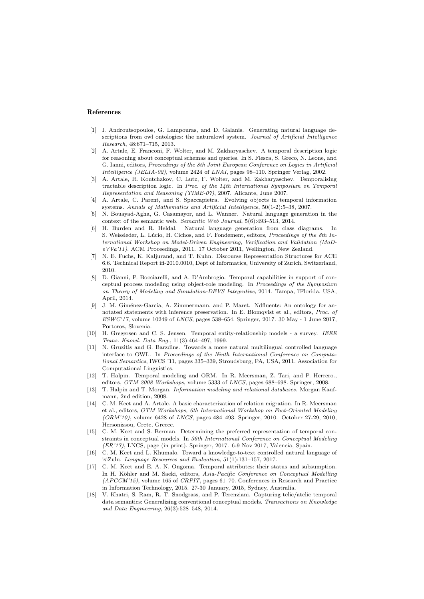#### References

- [1] I. Androutsopoulos, G. Lampouras, and D. Galanis. Generating natural language descriptions from owl ontologies: the naturalowl system. Journal of Artificial Intelligence Research, 48:671–715, 2013.
- [2] A. Artale, E. Franconi, F. Wolter, and M. Zakharyaschev. A temporal description logic for reasoning about conceptual schemas and queries. In S. Flesca, S. Greco, N. Leone, and G. Ianni, editors, Proceedings of the 8th Joint European Conference on Logics in Artificial Intelligence (JELIA-02), volume 2424 of LNAI, pages 98–110. Springer Verlag, 2002.
- [3] A. Artale, R. Kontchakov, C. Lutz, F. Wolter, and M. Zakharyaschev. Temporalising tractable description logic. In Proc. of the  $14th$  International Symposium on Temporal Representation and Reasoning (TIME-07), 2007. Alicante, June 2007.
- [4] A. Artale, C. Parent, and S. Spaccapietra. Evolving objects in temporal information systems. Annals of Mathematics and Artificial Intelligence, 50(1-2):5–38, 2007.
- [5] N. Bouayad-Agha, G. Casamayor, and L. Wanner. Natural language generation in the context of the semantic web. Semantic Web Journal, 5(6):493–513, 2014.
- [6] H. Burden and R. Heldal. Natural language generation from class diagrams. In S. Weissleder, L. Lúcio, H. Cichos, and F. Fondement, editors, *Proceedings of the 8th In*ternational Workshop on Model-Driven Engineering, Verification and Validation (MoDeVVa'11). ACM Proceedings, 2011. 17 October 2011, Wellington, New Zealand.
- [7] N. E. Fuchs, K. Kaljurand, and T. Kuhn. Discourse Representation Structures for ACE 6.6. Technical Report ifi-2010.0010, Dept of Informatics, University of Zurich, Switzerland, 2010.
- [8] D. Gianni, P. Bocciarelli, and A. D'Ambrogio. Temporal capabilities in support of conceptual process modeling using object-role modeling. In Proceedings of the Symposium on Theory of Modeling and Simulation-DEVS Integrative, 2014. Tampa, ?Florida, USA, April, 2014.
- [9] J. M. Giménez-García, A. Zimmermann, and P. Maret. Ndfluents: An ontology for annotated statements with inference preservation. In E. Blomqvist et al., editors, Proc. of ESWC'17, volume 10249 of LNCS, pages 538–654. Springer, 2017. 30 May - 1 June 2017, Portoroz, Slovenia.
- [10] H. Gregersen and C. S. Jensen. Temporal entity-relationship models a survey. IEEE Trans. Knowl. Data Eng., 11(3):464–497, 1999.
- [11] N. Gruzitis and G. Barzdins. Towards a more natural multilingual controlled language interface to OWL. In Proceedings of the Ninth International Conference on Computational Semantics, IWCS '11, pages 335–339, Stroudsburg, PA, USA, 2011. Association for Computational Linguistics.
- [12] T. Halpin. Temporal modeling and ORM. In R. Meersman, Z. Tari, and P. Herrero., editors, OTM 2008 Workshops, volume 5333 of LNCS, pages 688–698. Springer, 2008.
- [13] T. Halpin and T. Morgan. Information modeling and relational databases. Morgan Kaufmann, 2nd edition, 2008.
- [14] C. M. Keet and A. Artale. A basic characterization of relation migration. In R. Meersman et al., editors, OTM Workshops, 6th International Workshop on Fact-Oriented Modeling  $(ORM'10)$ , volume 6428 of *LNCS*, pages 484–493. Springer, 2010. October 27-29, 2010. Hersonissou, Crete, Greece.
- [15] C. M. Keet and S. Berman. Determining the preferred representation of temporal constraints in conceptual models. In 36th International Conference on Conceptual Modeling (ER'17), LNCS, page (in print). Springer, 2017. 6-9 Nov 2017, Valencia, Spain.
- [16] C. M. Keet and L. Khumalo. Toward a knowledge-to-text controlled natural language of isiZulu. Language Resources and Evaluation, 51(1):131–157, 2017.
- [17] C. M. Keet and E. A. N. Ongoma. Temporal attributes: their status and subsumption. In H. Köhler and M. Saeki, editors, Asia-Pacific Conference on Conceptual Modelling (APCCM'15), volume 165 of CRPIT, pages 61–70. Conferences in Research and Practice in Information Technology, 2015. 27-30 January, 2015, Sydney, Australia.
- [18] V. Khatri, S. Ram, R. T. Snodgrass, and P. Terenziani. Capturing telic/atelic temporal data semantics: Generalizing conventional conceptual models. Transactions on Knowledge and Data Engineering, 26(3):528–548, 2014.